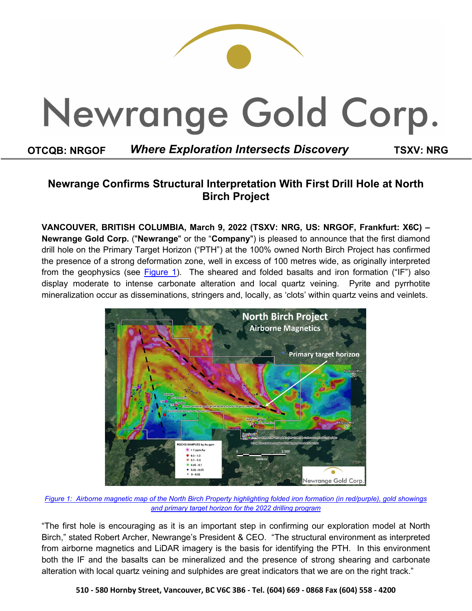

# **Newrange Confirms Structural Interpretation With First Drill Hole at North Birch Project**

**VANCOUVER, BRITISH COLUMBIA, March 9, 2022 (TSXV: NRG, US: NRGOF, Frankfurt: X6C) – Newrange Gold Corp.** ("**Newrange**" or the "**Company**") is pleased to announce that the first diamond drill hole on the Primary Target Horizon ("PTH") at the 100% owned North Birch Project has confirmed the presence of a strong deformation zone, well in excess of 100 metres wide, as originally interpreted from the geophysics (see [Figure 1\)](https://newrangegold.com/site/assets/files/4191/north_birch_target_map.png). The sheared and folded basalts and iron formation ("IF") also display moderate to intense carbonate alteration and local quartz veining. Pyrite and pyrrhotite mineralization occur as disseminations, stringers and, locally, as 'clots' within quartz veins and veinlets.



*[Figure 1: Airborne magnetic map of the North Birch Property highlighting folded](https://newrangegold.com/site/assets/files/4191/north_birch_target_map.png) iron formation (in red/purple), gold showings and primary [target horizon for the 2022 drilling](https://newrangegold.com/site/assets/files/4191/north_birch_target_map.png) program*

"The first hole is encouraging as it is an important step in confirming our exploration model at North Birch," stated Robert Archer, Newrange's President & CEO. "The structural environment as interpreted from airborne magnetics and LiDAR imagery is the basis for identifying the PTH. In this environment both the IF and the basalts can be mineralized and the presence of strong shearing and carbonate alteration with local quartz veining and sulphides are great indicators that we are on the right track."